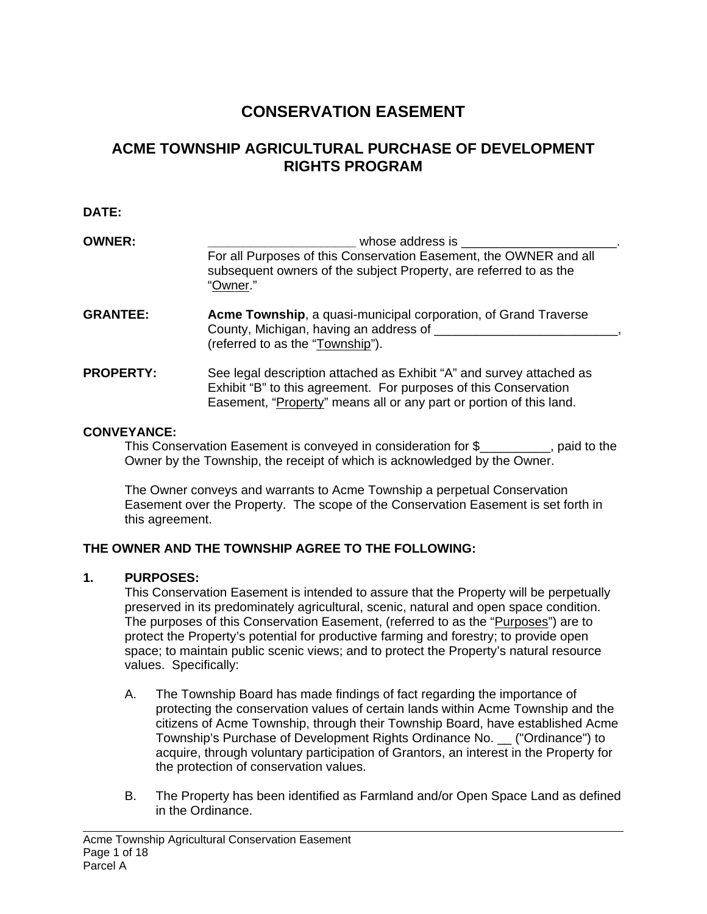# **CONSERVATION EASEMENT**

# **ACME TOWNSHIP AGRICULTURAL PURCHASE OF DEVELOPMENT RIGHTS PROGRAM**

#### **DATE:**

| <b>OWNER:</b>    | whose address is<br>For all Purposes of this Conservation Easement, the OWNER and all<br>subsequent owners of the subject Property, are referred to as the<br>"Owner."                                          |  |  |
|------------------|-----------------------------------------------------------------------------------------------------------------------------------------------------------------------------------------------------------------|--|--|
| <b>GRANTEE:</b>  | Acme Township, a quasi-municipal corporation, of Grand Traverse<br>County, Michigan, having an address of<br>(referred to as the "Township").                                                                   |  |  |
| <b>PROPERTY:</b> | See legal description attached as Exhibit "A" and survey attached as<br>Exhibit "B" to this agreement. For purposes of this Conservation<br>Easement, "Property" means all or any part or portion of this land. |  |  |

#### **CONVEYANCE:**

This Conservation Easement is conveyed in consideration for \$\_\_\_\_\_\_\_\_\_\_, paid to the Owner by the Township, the receipt of which is acknowledged by the Owner.

The Owner conveys and warrants to Acme Township a perpetual Conservation Easement over the Property. The scope of the Conservation Easement is set forth in this agreement.

## **THE OWNER AND THE TOWNSHIP AGREE TO THE FOLLOWING:**

### **1. PURPOSES:**

l

This Conservation Easement is intended to assure that the Property will be perpetually preserved in its predominately agricultural, scenic, natural and open space condition. The purposes of this Conservation Easement, (referred to as the "Purposes") are to protect the Property's potential for productive farming and forestry; to provide open space; to maintain public scenic views; and to protect the Property's natural resource values. Specifically:

- A. The Township Board has made findings of fact regarding the importance of protecting the conservation values of certain lands within Acme Township and the citizens of Acme Township, through their Township Board, have established Acme Township's Purchase of Development Rights Ordinance No. \_\_ ("Ordinance") to acquire, through voluntary participation of Grantors, an interest in the Property for the protection of conservation values.
- B. The Property has been identified as Farmland and/or Open Space Land as defined in the Ordinance.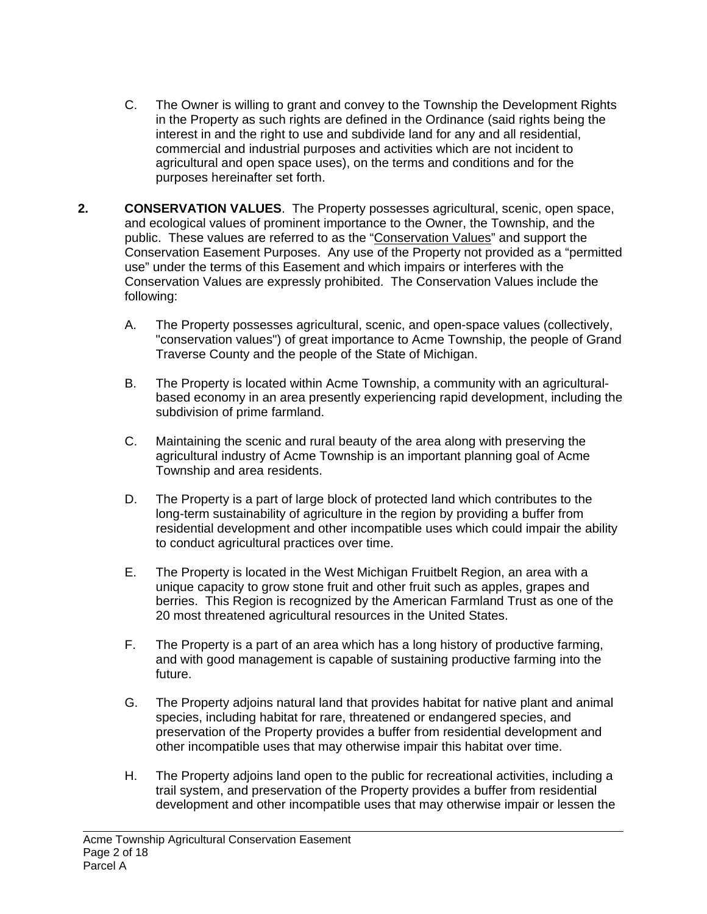- C. The Owner is willing to grant and convey to the Township the Development Rights in the Property as such rights are defined in the Ordinance (said rights being the interest in and the right to use and subdivide land for any and all residential, commercial and industrial purposes and activities which are not incident to agricultural and open space uses), on the terms and conditions and for the purposes hereinafter set forth.
- **2. CONSERVATION VALUES**. The Property possesses agricultural, scenic, open space, and ecological values of prominent importance to the Owner, the Township, and the public. These values are referred to as the "Conservation Values" and support the Conservation Easement Purposes. Any use of the Property not provided as a "permitted use" under the terms of this Easement and which impairs or interferes with the Conservation Values are expressly prohibited. The Conservation Values include the following:
	- A. The Property possesses agricultural, scenic, and open-space values (collectively, "conservation values") of great importance to Acme Township, the people of Grand Traverse County and the people of the State of Michigan.
	- B. The Property is located within Acme Township, a community with an agriculturalbased economy in an area presently experiencing rapid development, including the subdivision of prime farmland.
	- C. Maintaining the scenic and rural beauty of the area along with preserving the agricultural industry of Acme Township is an important planning goal of Acme Township and area residents.
	- D. The Property is a part of large block of protected land which contributes to the long-term sustainability of agriculture in the region by providing a buffer from residential development and other incompatible uses which could impair the ability to conduct agricultural practices over time.
	- E. The Property is located in the West Michigan Fruitbelt Region, an area with a unique capacity to grow stone fruit and other fruit such as apples, grapes and berries. This Region is recognized by the American Farmland Trust as one of the 20 most threatened agricultural resources in the United States.
	- F. The Property is a part of an area which has a long history of productive farming, and with good management is capable of sustaining productive farming into the future.
	- G. The Property adjoins natural land that provides habitat for native plant and animal species, including habitat for rare, threatened or endangered species, and preservation of the Property provides a buffer from residential development and other incompatible uses that may otherwise impair this habitat over time.
	- H. The Property adjoins land open to the public for recreational activities, including a trail system, and preservation of the Property provides a buffer from residential development and other incompatible uses that may otherwise impair or lessen the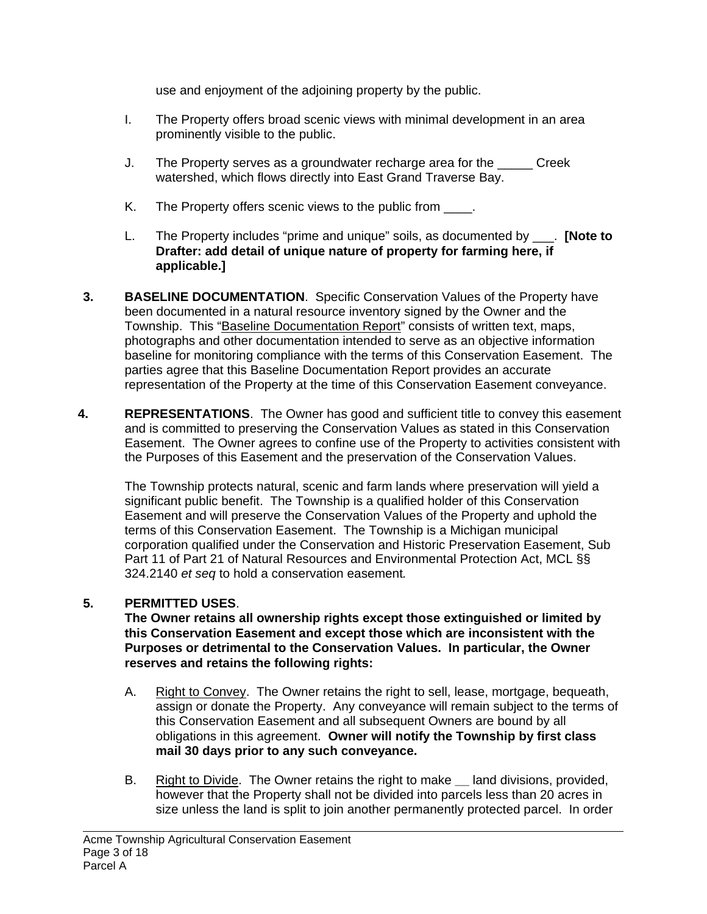use and enjoyment of the adjoining property by the public.

- I. The Property offers broad scenic views with minimal development in an area prominently visible to the public.
- J. The Property serves as a groundwater recharge area for the \_\_\_\_\_ Creek watershed, which flows directly into East Grand Traverse Bay.
- K. The Property offers scenic views to the public from  $\blacksquare$ .
- L. The Property includes "prime and unique" soils, as documented by \_\_\_. **[Note to Drafter: add detail of unique nature of property for farming here, if applicable.]**
- **3. BASELINE DOCUMENTATION**. Specific Conservation Values of the Property have been documented in a natural resource inventory signed by the Owner and the Township. This "Baseline Documentation Report" consists of written text, maps, photographs and other documentation intended to serve as an objective information baseline for monitoring compliance with the terms of this Conservation Easement. The parties agree that this Baseline Documentation Report provides an accurate representation of the Property at the time of this Conservation Easement conveyance.
- **4. REPRESENTATIONS**. The Owner has good and sufficient title to convey this easement and is committed to preserving the Conservation Values as stated in this Conservation Easement. The Owner agrees to confine use of the Property to activities consistent with the Purposes of this Easement and the preservation of the Conservation Values.

The Township protects natural, scenic and farm lands where preservation will yield a significant public benefit. The Township is a qualified holder of this Conservation Easement and will preserve the Conservation Values of the Property and uphold the terms of this Conservation Easement. The Township is a Michigan municipal corporation qualified under the Conservation and Historic Preservation Easement, Sub Part 11 of Part 21 of Natural Resources and Environmental Protection Act, MCL §§ 324.2140 *et seq* to hold a conservation easement*.*

## **5. PERMITTED USES**.

**The Owner retains all ownership rights except those extinguished or limited by this Conservation Easement and except those which are inconsistent with the Purposes or detrimental to the Conservation Values. In particular, the Owner reserves and retains the following rights:** 

- A. Right to Convey. The Owner retains the right to sell, lease, mortgage, bequeath, assign or donate the Property. Any conveyance will remain subject to the terms of this Conservation Easement and all subsequent Owners are bound by all obligations in this agreement. **Owner will notify the Township by first class mail 30 days prior to any such conveyance.**
- B. Right to Divide. The Owner retains the right to make **\_\_** land divisions, provided, however that the Property shall not be divided into parcels less than 20 acres in size unless the land is split to join another permanently protected parcel. In order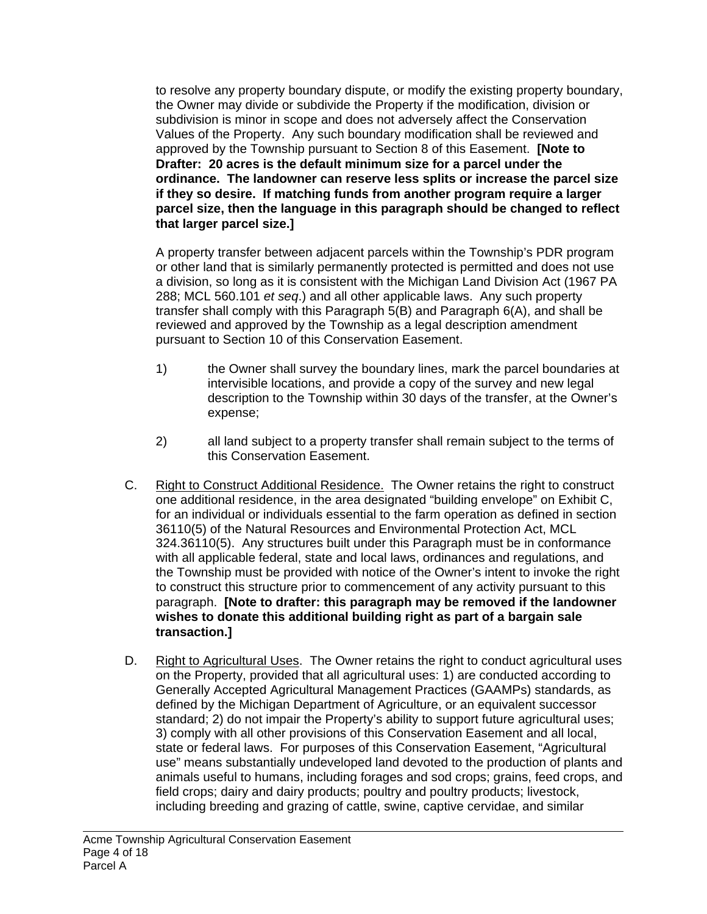to resolve any property boundary dispute, or modify the existing property boundary, the Owner may divide or subdivide the Property if the modification, division or subdivision is minor in scope and does not adversely affect the Conservation Values of the Property. Any such boundary modification shall be reviewed and approved by the Township pursuant to Section 8 of this Easement. **[Note to Drafter: 20 acres is the default minimum size for a parcel under the ordinance. The landowner can reserve less splits or increase the parcel size if they so desire. If matching funds from another program require a larger parcel size, then the language in this paragraph should be changed to reflect that larger parcel size.]**

A property transfer between adjacent parcels within the Township's PDR program or other land that is similarly permanently protected is permitted and does not use a division, so long as it is consistent with the Michigan Land Division Act (1967 PA 288; MCL 560.101 *et seq*.) and all other applicable laws. Any such property transfer shall comply with this Paragraph 5(B) and Paragraph 6(A), and shall be reviewed and approved by the Township as a legal description amendment pursuant to Section 10 of this Conservation Easement.

- 1) the Owner shall survey the boundary lines, mark the parcel boundaries at intervisible locations, and provide a copy of the survey and new legal description to the Township within 30 days of the transfer, at the Owner's expense;
- 2) all land subject to a property transfer shall remain subject to the terms of this Conservation Easement.
- C. Right to Construct Additional Residence. The Owner retains the right to construct one additional residence, in the area designated "building envelope" on Exhibit C, for an individual or individuals essential to the farm operation as defined in section 36110(5) of the Natural Resources and Environmental Protection Act, MCL 324.36110(5). Any structures built under this Paragraph must be in conformance with all applicable federal, state and local laws, ordinances and regulations, and the Township must be provided with notice of the Owner's intent to invoke the right to construct this structure prior to commencement of any activity pursuant to this paragraph. **[Note to drafter: this paragraph may be removed if the landowner wishes to donate this additional building right as part of a bargain sale transaction.]**
- D. Right to Agricultural Uses. The Owner retains the right to conduct agricultural uses on the Property, provided that all agricultural uses: 1) are conducted according to Generally Accepted Agricultural Management Practices (GAAMPs) standards, as defined by the Michigan Department of Agriculture, or an equivalent successor standard; 2) do not impair the Property's ability to support future agricultural uses; 3) comply with all other provisions of this Conservation Easement and all local, state or federal laws. For purposes of this Conservation Easement, "Agricultural use" means substantially undeveloped land devoted to the production of plants and animals useful to humans, including forages and sod crops; grains, feed crops, and field crops; dairy and dairy products; poultry and poultry products; livestock, including breeding and grazing of cattle, swine, captive cervidae, and similar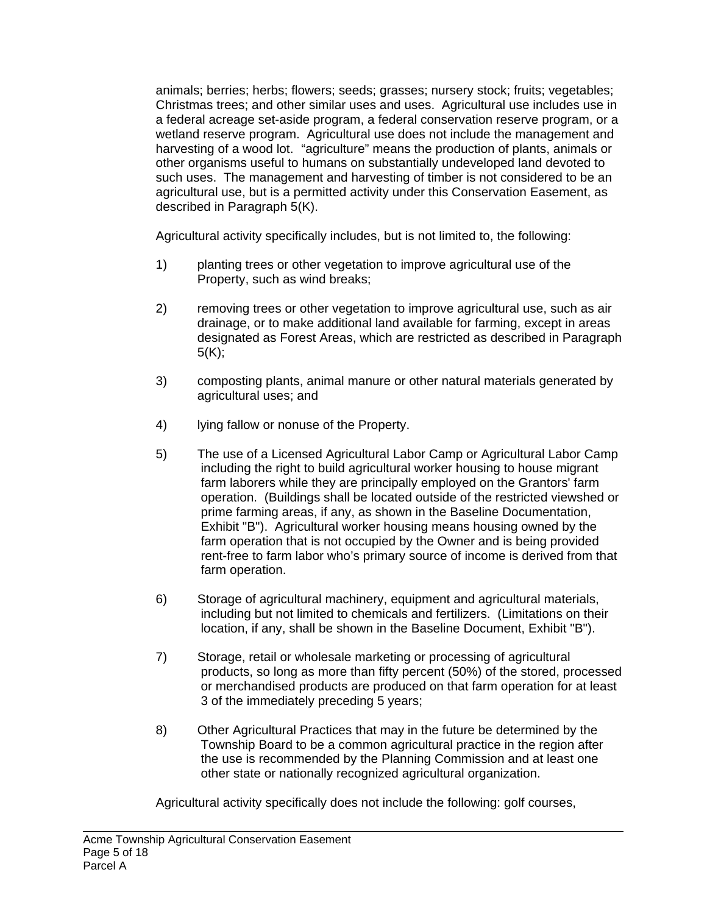animals; berries; herbs; flowers; seeds; grasses; nursery stock; fruits; vegetables; Christmas trees; and other similar uses and uses. Agricultural use includes use in a federal acreage set-aside program, a federal conservation reserve program, or a wetland reserve program. Agricultural use does not include the management and harvesting of a wood lot. "agriculture" means the production of plants, animals or other organisms useful to humans on substantially undeveloped land devoted to such uses. The management and harvesting of timber is not considered to be an agricultural use, but is a permitted activity under this Conservation Easement, as described in Paragraph 5(K).

Agricultural activity specifically includes, but is not limited to, the following:

- 1) planting trees or other vegetation to improve agricultural use of the Property, such as wind breaks;
- 2) removing trees or other vegetation to improve agricultural use, such as air drainage, or to make additional land available for farming, except in areas designated as Forest Areas, which are restricted as described in Paragraph  $5(K)$ ;
- 3) composting plants, animal manure or other natural materials generated by agricultural uses; and
- 4) lying fallow or nonuse of the Property.
- 5) The use of a Licensed Agricultural Labor Camp or Agricultural Labor Camp including the right to build agricultural worker housing to house migrant farm laborers while they are principally employed on the Grantors' farm operation. (Buildings shall be located outside of the restricted viewshed or prime farming areas, if any, as shown in the Baseline Documentation, Exhibit "B"). Agricultural worker housing means housing owned by the farm operation that is not occupied by the Owner and is being provided rent-free to farm labor who's primary source of income is derived from that farm operation.
- 6) Storage of agricultural machinery, equipment and agricultural materials, including but not limited to chemicals and fertilizers. (Limitations on their location, if any, shall be shown in the Baseline Document, Exhibit "B").
- 7) Storage, retail or wholesale marketing or processing of agricultural products, so long as more than fifty percent (50%) of the stored, processed or merchandised products are produced on that farm operation for at least 3 of the immediately preceding 5 years;
- 8) Other Agricultural Practices that may in the future be determined by the Township Board to be a common agricultural practice in the region after the use is recommended by the Planning Commission and at least one other state or nationally recognized agricultural organization.

Agricultural activity specifically does not include the following: golf courses,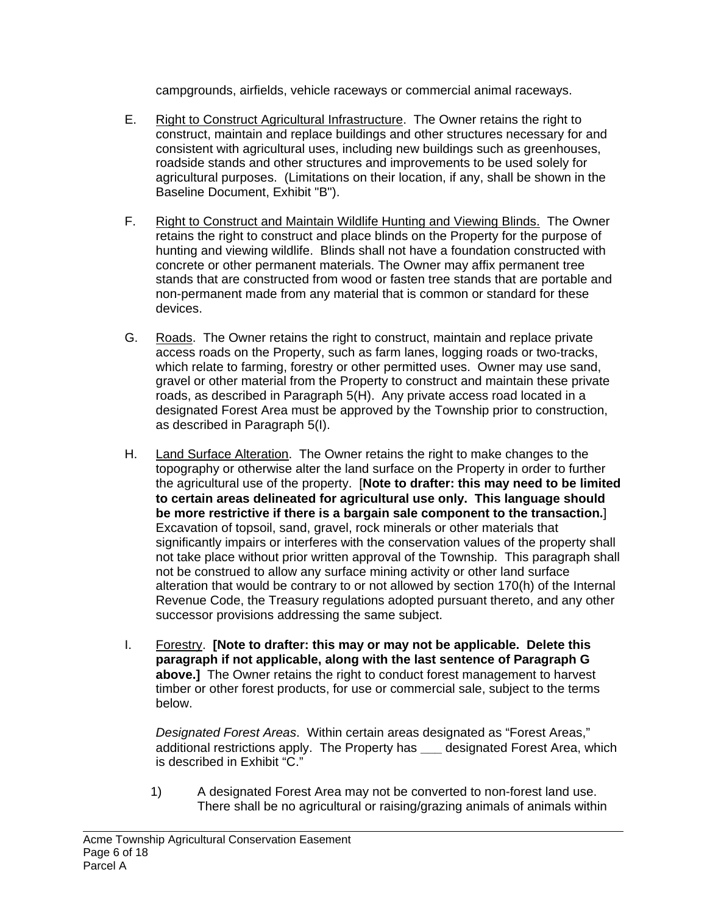campgrounds, airfields, vehicle raceways or commercial animal raceways.

- E. Right to Construct Agricultural Infrastructure. The Owner retains the right to construct, maintain and replace buildings and other structures necessary for and consistent with agricultural uses, including new buildings such as greenhouses, roadside stands and other structures and improvements to be used solely for agricultural purposes. (Limitations on their location, if any, shall be shown in the Baseline Document, Exhibit "B").
- F. Right to Construct and Maintain Wildlife Hunting and Viewing Blinds. The Owner retains the right to construct and place blinds on the Property for the purpose of hunting and viewing wildlife. Blinds shall not have a foundation constructed with concrete or other permanent materials. The Owner may affix permanent tree stands that are constructed from wood or fasten tree stands that are portable and non-permanent made from any material that is common or standard for these devices.
- G. Roads. The Owner retains the right to construct, maintain and replace private access roads on the Property, such as farm lanes, logging roads or two-tracks, which relate to farming, forestry or other permitted uses. Owner may use sand, gravel or other material from the Property to construct and maintain these private roads, as described in Paragraph 5(H). Any private access road located in a designated Forest Area must be approved by the Township prior to construction, as described in Paragraph 5(I).
- H. Land Surface Alteration. The Owner retains the right to make changes to the topography or otherwise alter the land surface on the Property in order to further the agricultural use of the property. [**Note to drafter: this may need to be limited to certain areas delineated for agricultural use only. This language should be more restrictive if there is a bargain sale component to the transaction.**] Excavation of topsoil, sand, gravel, rock minerals or other materials that significantly impairs or interferes with the conservation values of the property shall not take place without prior written approval of the Township. This paragraph shall not be construed to allow any surface mining activity or other land surface alteration that would be contrary to or not allowed by section 170(h) of the Internal Revenue Code, the Treasury regulations adopted pursuant thereto, and any other successor provisions addressing the same subject.
- I. Forestry. **[Note to drafter: this may or may not be applicable. Delete this paragraph if not applicable, along with the last sentence of Paragraph G above.]** The Owner retains the right to conduct forest management to harvest timber or other forest products, for use or commercial sale, subject to the terms below.

*Designated Forest Areas*. Within certain areas designated as "Forest Areas," additional restrictions apply. The Property has **\_\_\_** designated Forest Area, which is described in Exhibit "C."

1) A designated Forest Area may not be converted to non-forest land use. There shall be no agricultural or raising/grazing animals of animals within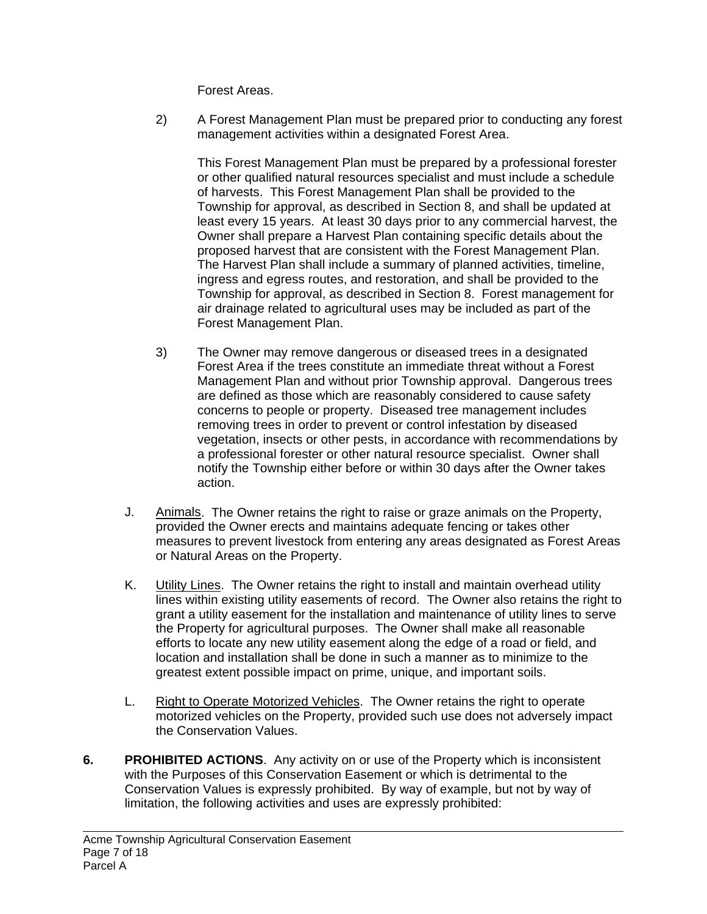Forest Areas.

2) A Forest Management Plan must be prepared prior to conducting any forest management activities within a designated Forest Area.

This Forest Management Plan must be prepared by a professional forester or other qualified natural resources specialist and must include a schedule of harvests. This Forest Management Plan shall be provided to the Township for approval, as described in Section 8, and shall be updated at least every 15 years. At least 30 days prior to any commercial harvest, the Owner shall prepare a Harvest Plan containing specific details about the proposed harvest that are consistent with the Forest Management Plan. The Harvest Plan shall include a summary of planned activities, timeline, ingress and egress routes, and restoration, and shall be provided to the Township for approval, as described in Section 8. Forest management for air drainage related to agricultural uses may be included as part of the Forest Management Plan.

- 3) The Owner may remove dangerous or diseased trees in a designated Forest Area if the trees constitute an immediate threat without a Forest Management Plan and without prior Township approval. Dangerous trees are defined as those which are reasonably considered to cause safety concerns to people or property. Diseased tree management includes removing trees in order to prevent or control infestation by diseased vegetation, insects or other pests, in accordance with recommendations by a professional forester or other natural resource specialist. Owner shall notify the Township either before or within 30 days after the Owner takes action.
- J. Animals. The Owner retains the right to raise or graze animals on the Property, provided the Owner erects and maintains adequate fencing or takes other measures to prevent livestock from entering any areas designated as Forest Areas or Natural Areas on the Property.
- K. Utility Lines. The Owner retains the right to install and maintain overhead utility lines within existing utility easements of record. The Owner also retains the right to grant a utility easement for the installation and maintenance of utility lines to serve the Property for agricultural purposes. The Owner shall make all reasonable efforts to locate any new utility easement along the edge of a road or field, and location and installation shall be done in such a manner as to minimize to the greatest extent possible impact on prime, unique, and important soils.
- L. Right to Operate Motorized Vehicles. The Owner retains the right to operate motorized vehicles on the Property, provided such use does not adversely impact the Conservation Values.
- **6. PROHIBITED ACTIONS**. Any activity on or use of the Property which is inconsistent with the Purposes of this Conservation Easement or which is detrimental to the Conservation Values is expressly prohibited. By way of example, but not by way of limitation, the following activities and uses are expressly prohibited: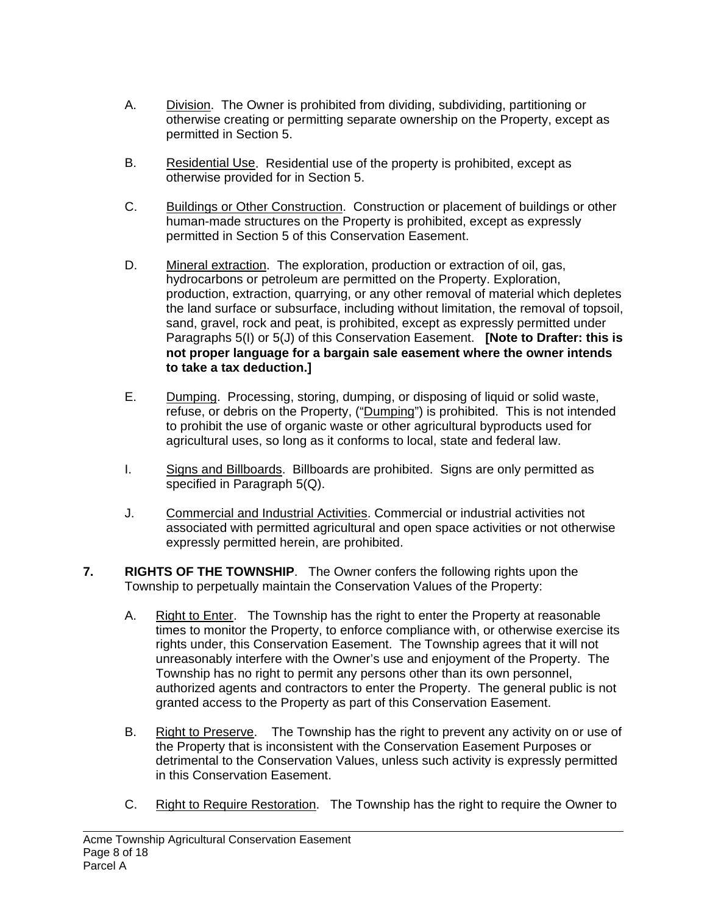- A. Division. The Owner is prohibited from dividing, subdividing, partitioning or otherwise creating or permitting separate ownership on the Property, except as permitted in Section 5.
- B. Residential Use. Residential use of the property is prohibited, except as otherwise provided for in Section 5.
- C. Buildings or Other Construction. Construction or placement of buildings or other human-made structures on the Property is prohibited, except as expressly permitted in Section 5 of this Conservation Easement.
- D. Mineral extraction. The exploration, production or extraction of oil, gas, hydrocarbons or petroleum are permitted on the Property. Exploration, production, extraction, quarrying, or any other removal of material which depletes the land surface or subsurface, including without limitation, the removal of topsoil, sand, gravel, rock and peat, is prohibited, except as expressly permitted under Paragraphs 5(I) or 5(J) of this Conservation Easement. **[Note to Drafter: this is not proper language for a bargain sale easement where the owner intends to take a tax deduction.]**
- E. Dumping. Processing, storing, dumping, or disposing of liquid or solid waste, refuse, or debris on the Property, ("Dumping") is prohibited. This is not intended to prohibit the use of organic waste or other agricultural byproducts used for agricultural uses, so long as it conforms to local, state and federal law.
- I. Signs and Billboards. Billboards are prohibited. Signs are only permitted as specified in Paragraph 5(Q).
- J. Commercial and Industrial Activities. Commercial or industrial activities not associated with permitted agricultural and open space activities or not otherwise expressly permitted herein, are prohibited.
- **7. RIGHTS OF THE TOWNSHIP**. The Owner confers the following rights upon the Township to perpetually maintain the Conservation Values of the Property:
	- A. Right to Enter. The Township has the right to enter the Property at reasonable times to monitor the Property, to enforce compliance with, or otherwise exercise its rights under, this Conservation Easement. The Township agrees that it will not unreasonably interfere with the Owner's use and enjoyment of the Property. The Township has no right to permit any persons other than its own personnel, authorized agents and contractors to enter the Property. The general public is not granted access to the Property as part of this Conservation Easement.
	- B. Right to Preserve. The Township has the right to prevent any activity on or use of the Property that is inconsistent with the Conservation Easement Purposes or detrimental to the Conservation Values, unless such activity is expressly permitted in this Conservation Easement.
	- C. Right to Require Restoration. The Township has the right to require the Owner to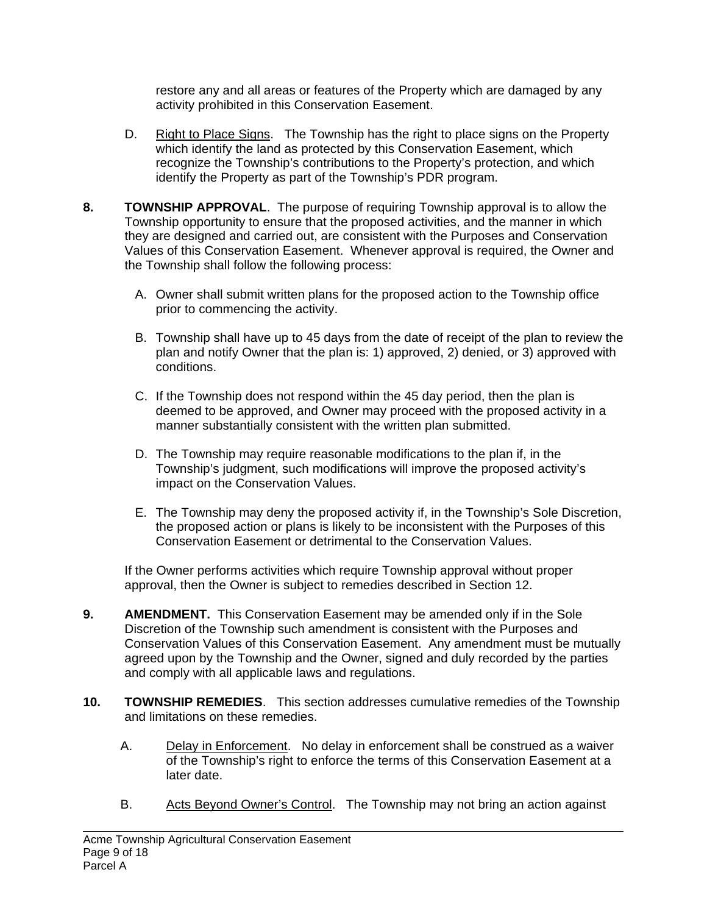restore any and all areas or features of the Property which are damaged by any activity prohibited in this Conservation Easement.

- D. Right to Place Signs. The Township has the right to place signs on the Property which identify the land as protected by this Conservation Easement, which recognize the Township's contributions to the Property's protection, and which identify the Property as part of the Township's PDR program.
- **8. TOWNSHIP APPROVAL**. The purpose of requiring Township approval is to allow the Township opportunity to ensure that the proposed activities, and the manner in which they are designed and carried out, are consistent with the Purposes and Conservation Values of this Conservation Easement. Whenever approval is required, the Owner and the Township shall follow the following process:
	- A. Owner shall submit written plans for the proposed action to the Township office prior to commencing the activity.
	- B. Township shall have up to 45 days from the date of receipt of the plan to review the plan and notify Owner that the plan is: 1) approved, 2) denied, or 3) approved with conditions.
	- C. If the Township does not respond within the 45 day period, then the plan is deemed to be approved, and Owner may proceed with the proposed activity in a manner substantially consistent with the written plan submitted.
	- D. The Township may require reasonable modifications to the plan if, in the Township's judgment, such modifications will improve the proposed activity's impact on the Conservation Values.
	- E. The Township may deny the proposed activity if, in the Township's Sole Discretion, the proposed action or plans is likely to be inconsistent with the Purposes of this Conservation Easement or detrimental to the Conservation Values.

If the Owner performs activities which require Township approval without proper approval, then the Owner is subject to remedies described in Section 12.

- **9. AMENDMENT.** This Conservation Easement may be amended only if in the Sole Discretion of the Township such amendment is consistent with the Purposes and Conservation Values of this Conservation Easement. Any amendment must be mutually agreed upon by the Township and the Owner, signed and duly recorded by the parties and comply with all applicable laws and regulations.
- **10. TOWNSHIP REMEDIES**. This section addresses cumulative remedies of the Township and limitations on these remedies.
	- A. Delay in Enforcement. No delay in enforcement shall be construed as a waiver of the Township's right to enforce the terms of this Conservation Easement at a later date.
	- B. Acts Beyond Owner's Control. The Township may not bring an action against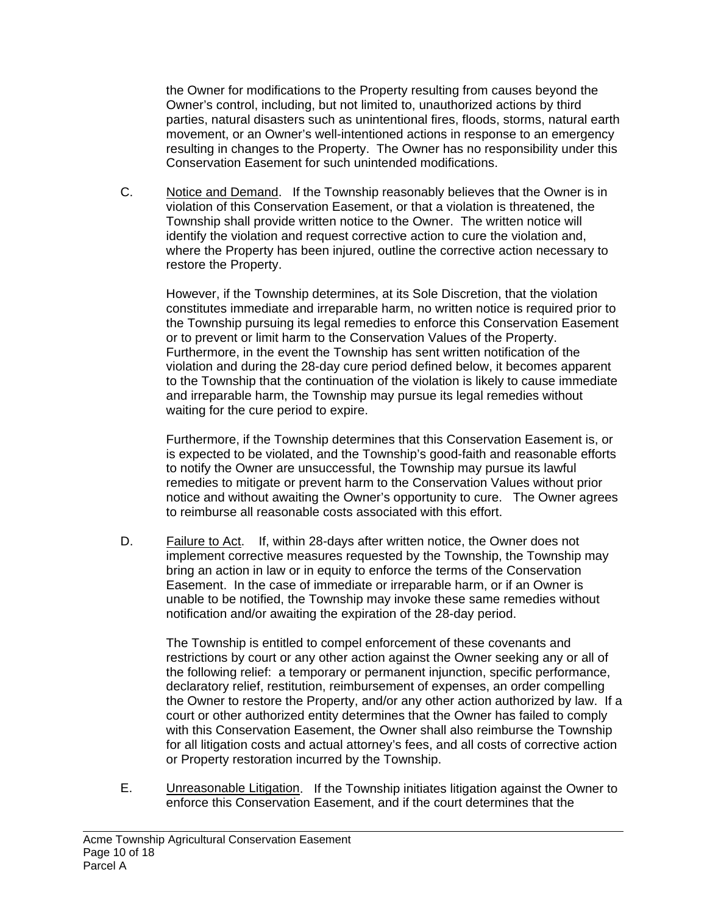the Owner for modifications to the Property resulting from causes beyond the Owner's control, including, but not limited to, unauthorized actions by third parties, natural disasters such as unintentional fires, floods, storms, natural earth movement, or an Owner's well-intentioned actions in response to an emergency resulting in changes to the Property. The Owner has no responsibility under this Conservation Easement for such unintended modifications.

C. Notice and Demand. If the Township reasonably believes that the Owner is in violation of this Conservation Easement, or that a violation is threatened, the Township shall provide written notice to the Owner. The written notice will identify the violation and request corrective action to cure the violation and, where the Property has been injured, outline the corrective action necessary to restore the Property.

However, if the Township determines, at its Sole Discretion, that the violation constitutes immediate and irreparable harm, no written notice is required prior to the Township pursuing its legal remedies to enforce this Conservation Easement or to prevent or limit harm to the Conservation Values of the Property. Furthermore, in the event the Township has sent written notification of the violation and during the 28-day cure period defined below, it becomes apparent to the Township that the continuation of the violation is likely to cause immediate and irreparable harm, the Township may pursue its legal remedies without waiting for the cure period to expire.

Furthermore, if the Township determines that this Conservation Easement is, or is expected to be violated, and the Township's good-faith and reasonable efforts to notify the Owner are unsuccessful, the Township may pursue its lawful remedies to mitigate or prevent harm to the Conservation Values without prior notice and without awaiting the Owner's opportunity to cure. The Owner agrees to reimburse all reasonable costs associated with this effort.

D. Failure to Act. If, within 28-days after written notice, the Owner does not implement corrective measures requested by the Township, the Township may bring an action in law or in equity to enforce the terms of the Conservation Easement. In the case of immediate or irreparable harm, or if an Owner is unable to be notified, the Township may invoke these same remedies without notification and/or awaiting the expiration of the 28-day period.

The Township is entitled to compel enforcement of these covenants and restrictions by court or any other action against the Owner seeking any or all of the following relief: a temporary or permanent injunction, specific performance, declaratory relief, restitution, reimbursement of expenses, an order compelling the Owner to restore the Property, and/or any other action authorized by law. If a court or other authorized entity determines that the Owner has failed to comply with this Conservation Easement, the Owner shall also reimburse the Township for all litigation costs and actual attorney's fees, and all costs of corrective action or Property restoration incurred by the Township.

E. Unreasonable Litigation. If the Township initiates litigation against the Owner to enforce this Conservation Easement, and if the court determines that the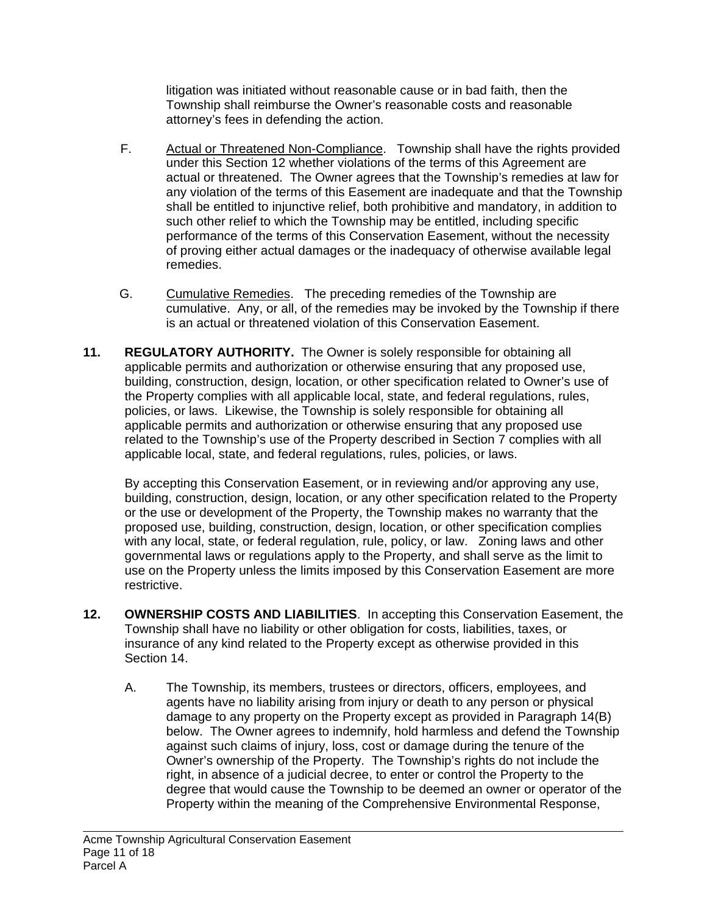litigation was initiated without reasonable cause or in bad faith, then the Township shall reimburse the Owner's reasonable costs and reasonable attorney's fees in defending the action.

- F. Actual or Threatened Non-Compliance. Township shall have the rights provided under this Section 12 whether violations of the terms of this Agreement are actual or threatened. The Owner agrees that the Township's remedies at law for any violation of the terms of this Easement are inadequate and that the Township shall be entitled to injunctive relief, both prohibitive and mandatory, in addition to such other relief to which the Township may be entitled, including specific performance of the terms of this Conservation Easement, without the necessity of proving either actual damages or the inadequacy of otherwise available legal remedies.
- G. Cumulative Remedies. The preceding remedies of the Township are cumulative. Any, or all, of the remedies may be invoked by the Township if there is an actual or threatened violation of this Conservation Easement.
- **11. REGULATORY AUTHORITY.** The Owner is solely responsible for obtaining all applicable permits and authorization or otherwise ensuring that any proposed use, building, construction, design, location, or other specification related to Owner's use of the Property complies with all applicable local, state, and federal regulations, rules, policies, or laws. Likewise, the Township is solely responsible for obtaining all applicable permits and authorization or otherwise ensuring that any proposed use related to the Township's use of the Property described in Section 7 complies with all applicable local, state, and federal regulations, rules, policies, or laws.

By accepting this Conservation Easement, or in reviewing and/or approving any use, building, construction, design, location, or any other specification related to the Property or the use or development of the Property, the Township makes no warranty that the proposed use, building, construction, design, location, or other specification complies with any local, state, or federal regulation, rule, policy, or law. Zoning laws and other governmental laws or regulations apply to the Property, and shall serve as the limit to use on the Property unless the limits imposed by this Conservation Easement are more restrictive.

- **12. OWNERSHIP COSTS AND LIABILITIES**. In accepting this Conservation Easement, the Township shall have no liability or other obligation for costs, liabilities, taxes, or insurance of any kind related to the Property except as otherwise provided in this Section 14.
	- A. The Township, its members, trustees or directors, officers, employees, and agents have no liability arising from injury or death to any person or physical damage to any property on the Property except as provided in Paragraph 14(B) below. The Owner agrees to indemnify, hold harmless and defend the Township against such claims of injury, loss, cost or damage during the tenure of the Owner's ownership of the Property. The Township's rights do not include the right, in absence of a judicial decree, to enter or control the Property to the degree that would cause the Township to be deemed an owner or operator of the Property within the meaning of the Comprehensive Environmental Response,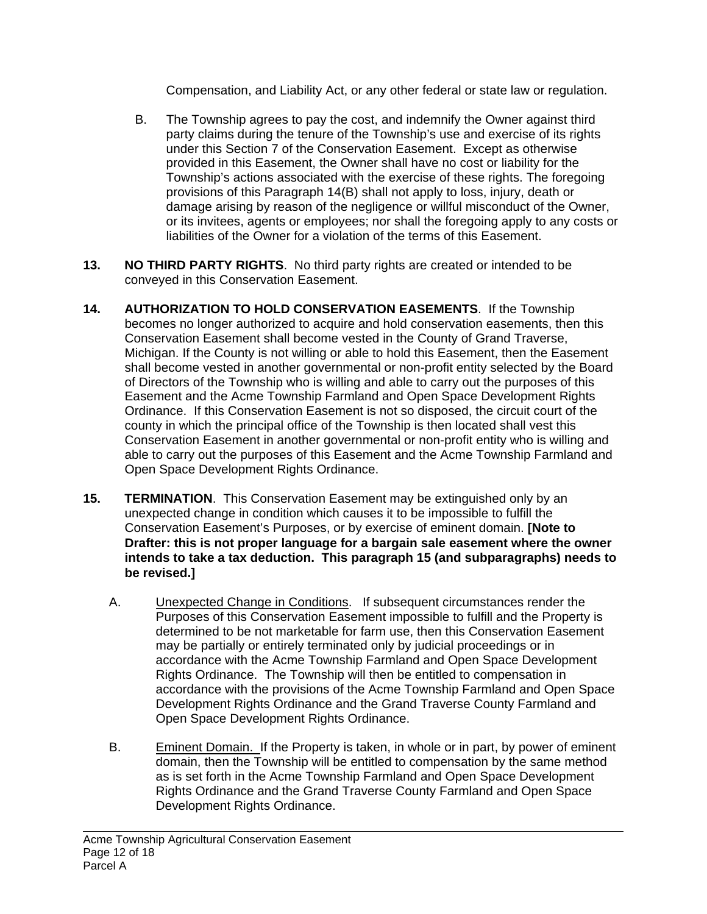Compensation, and Liability Act, or any other federal or state law or regulation.

- B. The Township agrees to pay the cost, and indemnify the Owner against third party claims during the tenure of the Township's use and exercise of its rights under this Section 7 of the Conservation Easement. Except as otherwise provided in this Easement, the Owner shall have no cost or liability for the Township's actions associated with the exercise of these rights. The foregoing provisions of this Paragraph 14(B) shall not apply to loss, injury, death or damage arising by reason of the negligence or willful misconduct of the Owner, or its invitees, agents or employees; nor shall the foregoing apply to any costs or liabilities of the Owner for a violation of the terms of this Easement.
- **13. NO THIRD PARTY RIGHTS**.No third party rights are created or intended to be conveyed in this Conservation Easement.
- **14. AUTHORIZATION TO HOLD CONSERVATION EASEMENTS**. If the Township becomes no longer authorized to acquire and hold conservation easements, then this Conservation Easement shall become vested in the County of Grand Traverse, Michigan. If the County is not willing or able to hold this Easement, then the Easement shall become vested in another governmental or non-profit entity selected by the Board of Directors of the Township who is willing and able to carry out the purposes of this Easement and the Acme Township Farmland and Open Space Development Rights Ordinance. If this Conservation Easement is not so disposed, the circuit court of the county in which the principal office of the Township is then located shall vest this Conservation Easement in another governmental or non-profit entity who is willing and able to carry out the purposes of this Easement and the Acme Township Farmland and Open Space Development Rights Ordinance.
- **15. TERMINATION**. This Conservation Easement may be extinguished only by an unexpected change in condition which causes it to be impossible to fulfill the Conservation Easement's Purposes, or by exercise of eminent domain. **[Note to Drafter: this is not proper language for a bargain sale easement where the owner intends to take a tax deduction. This paragraph 15 (and subparagraphs) needs to be revised.]**
	- A. Unexpected Change in Conditions. If subsequent circumstances render the Purposes of this Conservation Easement impossible to fulfill and the Property is determined to be not marketable for farm use, then this Conservation Easement may be partially or entirely terminated only by judicial proceedings or in accordance with the Acme Township Farmland and Open Space Development Rights Ordinance. The Township will then be entitled to compensation in accordance with the provisions of the Acme Township Farmland and Open Space Development Rights Ordinance and the Grand Traverse County Farmland and Open Space Development Rights Ordinance.
	- B. Eminent Domain. If the Property is taken, in whole or in part, by power of eminent domain, then the Township will be entitled to compensation by the same method as is set forth in the Acme Township Farmland and Open Space Development Rights Ordinance and the Grand Traverse County Farmland and Open Space Development Rights Ordinance.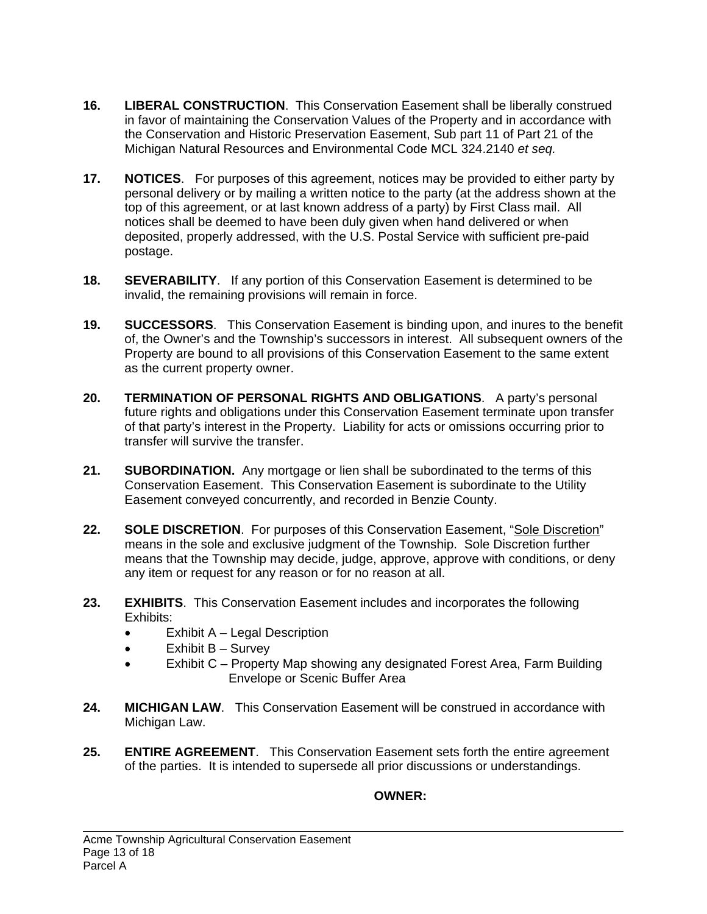- **16. LIBERAL CONSTRUCTION**. This Conservation Easement shall be liberally construed in favor of maintaining the Conservation Values of the Property and in accordance with the Conservation and Historic Preservation Easement, Sub part 11 of Part 21 of the Michigan Natural Resources and Environmental Code MCL 324.2140 *et seq.*
- **17. NOTICES**. For purposes of this agreement, notices may be provided to either party by personal delivery or by mailing a written notice to the party (at the address shown at the top of this agreement, or at last known address of a party) by First Class mail. All notices shall be deemed to have been duly given when hand delivered or when deposited, properly addressed, with the U.S. Postal Service with sufficient pre-paid postage.
- **18. SEVERABILITY**. If any portion of this Conservation Easement is determined to be invalid, the remaining provisions will remain in force.
- **19. SUCCESSORS**. This Conservation Easement is binding upon, and inures to the benefit of, the Owner's and the Township's successors in interest. All subsequent owners of the Property are bound to all provisions of this Conservation Easement to the same extent as the current property owner.
- **20. TERMINATION OF PERSONAL RIGHTS AND OBLIGATIONS**. A party's personal future rights and obligations under this Conservation Easement terminate upon transfer of that party's interest in the Property. Liability for acts or omissions occurring prior to transfer will survive the transfer.
- **21. SUBORDINATION.** Any mortgage or lien shall be subordinated to the terms of this Conservation Easement. This Conservation Easement is subordinate to the Utility Easement conveyed concurrently, and recorded in Benzie County.
- 22. SOLE DISCRETION. For purposes of this Conservation Easement, "Sole Discretion" means in the sole and exclusive judgment of the Township. Sole Discretion further means that the Township may decide, judge, approve, approve with conditions, or deny any item or request for any reason or for no reason at all.
- **23. EXHIBITS**. This Conservation Easement includes and incorporates the following Exhibits:
	- Exhibit A Legal Description
	- Exhibit  $B -$  Survey
	- Exhibit C Property Map showing any designated Forest Area, Farm Building Envelope or Scenic Buffer Area
- **24. MICHIGAN LAW**. This Conservation Easement will be construed in accordance with Michigan Law.
- **25. ENTIRE AGREEMENT**. This Conservation Easement sets forth the entire agreement of the parties. It is intended to supersede all prior discussions or understandings.

## **OWNER:**